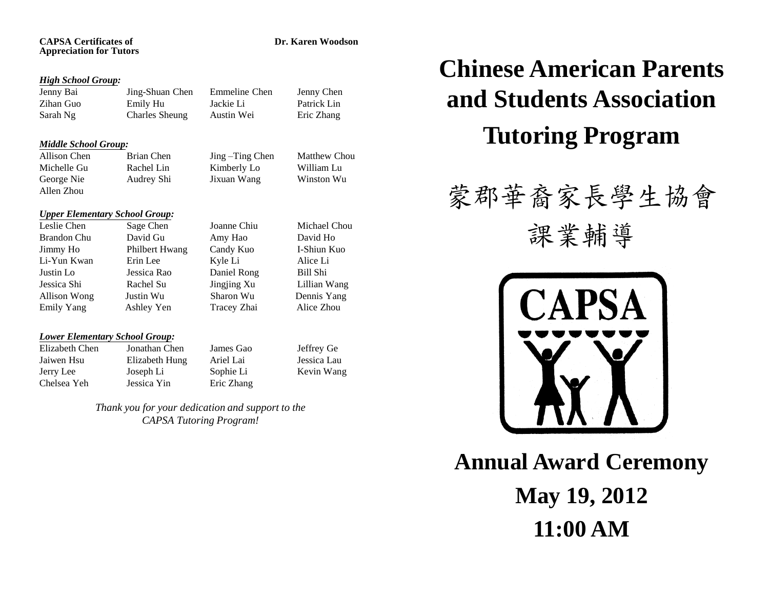### **CAPSA Certificates of Dr. Karen Woodson Appreciation for Tutors**

## *High School Group:*

Jenny Bai Jing-Shuan Chen Emmeline Chen Jenny Chen Zihan Guo Emily Hu Jackie Li Patrick Lin Sarah Ng Charles Sheung Austin Wei Eric Zhang

## *Middle School Group:*

Michelle Gu Rachel Lin Kimberly Lo William Lu George Nie Audrey Shi Jixuan Wang Winston Wu Allen Zhou

Allison Chen Brian Chen Jing –Ting Chen Matthew Chou

## *Upper Elementary School Group:*

Leslie Chen Sage Chen Joanne Chiu Michael Chou Brandon Chu David Gu Amy Hao David Ho Jimmy Ho Philbert Hwang Candy Kuo I-Shiun Kuo Li-Yun Kwan Erin Lee Kyle Li Alice Li Justin Lo Jessica Rao Daniel Rong Bill Shi Jessica Shi Rachel Su Jingjing Xu Lillian Wang Allison Wong Justin Wu Sharon Wu Dennis Yang Emily Yang Ashley Yen Tracey Zhai Alice Zhou

## *Lower Elementary School Group:*

Chelsea Yeh Jessica Yin Eric Zhang

Elizabeth Chen Jonathan Chen James Gao Jeffrey Ge Jaiwen Hsu Elizabeth Hung Ariel Lai Jessica Lau Jerry Lee Joseph Li Sophie Li Kevin Wang

> *Thank you for your dedication and support to the CAPSA Tutoring Program!*

# **Chinese American Parents and Students Association Tutoring Program**

## 蒙郡華裔家長學生協會

課業輔導



**Annual Award Ceremony May 19, 2012 11:00 AM**